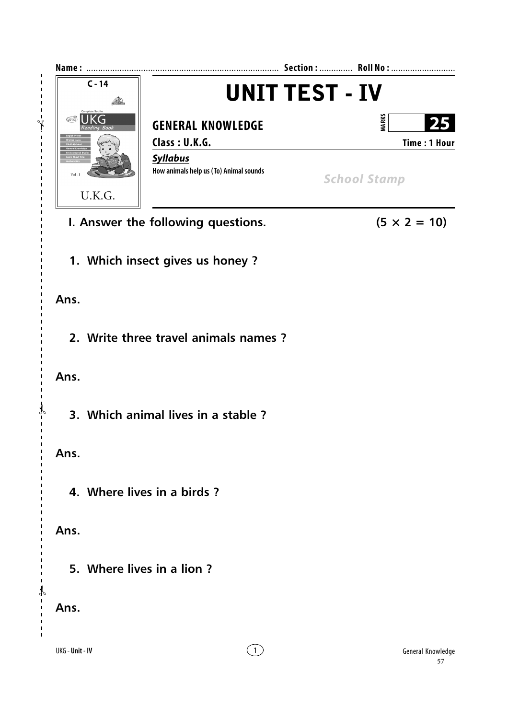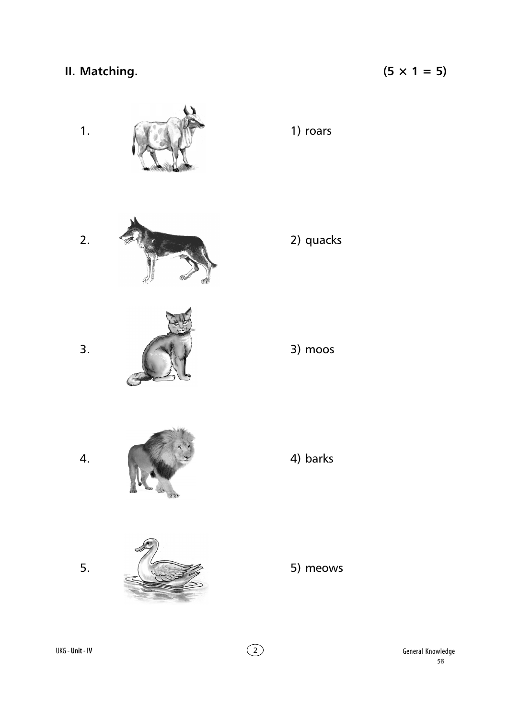## II. Matching.

## $(5 \times 1 = 5)$